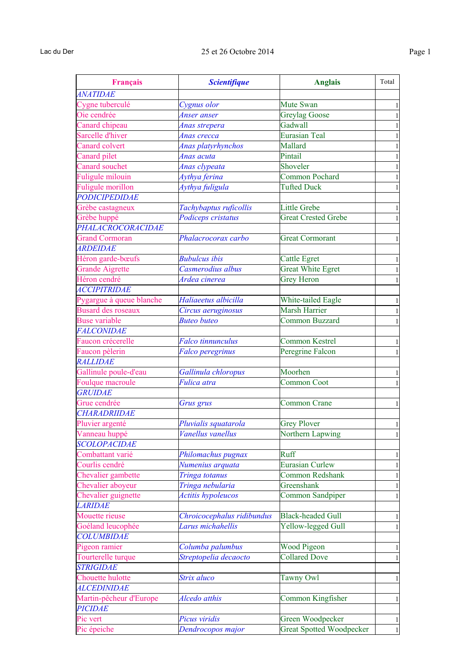| Français                  | <b>Scientifique</b>        | <b>Anglais</b>                  | Total        |
|---------------------------|----------------------------|---------------------------------|--------------|
| <b>ANATIDAE</b>           |                            |                                 |              |
| Cygne tuberculé           | Cygnus olor                | Mute Swan                       |              |
| Oie cendrée               | Anser anser                | <b>Greylag Goose</b>            |              |
| Canard chipeau            | Anas strepera              | Gadwall                         |              |
| Sarcelle d'hiver          | Anas crecca                | <b>Eurasian Teal</b>            |              |
| Canard colvert            | Anas platyrhynchos         | Mallard                         |              |
| Canard pilet              | Anas acuta                 | Pintail                         |              |
| <b>Canard souchet</b>     | Anas clypeata              | Shoveler                        |              |
| Fuligule milouin          | Aythya ferina              | Common Pochard                  |              |
| Fuligule morillon         | Aythya fuligula            | <b>Tufted Duck</b>              |              |
| <b>PODICIPEDIDAE</b>      |                            |                                 |              |
| Grèbe castagneux          | Tachybaptus ruficollis     | <b>Little Grebe</b>             |              |
| Grèbe huppé               | Podiceps cristatus         | <b>Great Crested Grebe</b>      |              |
| PHALACROCORACIDAE         |                            |                                 |              |
| <b>Grand Cormoran</b>     | Phalacrocorax carbo        | <b>Great Cormorant</b>          |              |
| <b>ARDEIDAE</b>           |                            |                                 |              |
| Héron garde-bœufs         | <b>Bubulcus</b> ibis       | <b>Cattle Egret</b>             |              |
| <b>Grande Aigrette</b>    | Casmerodius albus          | <b>Great White Egret</b>        |              |
| Héron cendré              | Ardea cinerea              | <b>Grey Heron</b>               |              |
| <b>ACCIPITRIDAE</b>       |                            |                                 |              |
| Pygargue à queue blanche  | Haliaeetus albicilla       | White-tailed Eagle              |              |
| <b>Busard des roseaux</b> | Circus aeruginosus         | <b>Marsh Harrier</b>            |              |
| <b>Buse variable</b>      | <b>Buteo buteo</b>         | Common Buzzard                  |              |
| <b>FALCONIDAE</b>         |                            |                                 |              |
| Faucon crécerelle         | <b>Falco</b> tinnunculus   | <b>Common Kestrel</b>           |              |
| Faucon pèlerin            | Falco peregrinus           | Peregrine Falcon                |              |
| <b>RALLIDAE</b>           |                            |                                 |              |
| Gallinule poule-d'eau     | Gallinula chloropus        | Moorhen                         |              |
| Foulque macroule          | Fulica atra                | <b>Common Coot</b>              |              |
| <b>GRUIDAE</b>            |                            |                                 |              |
| Grue cendrée              | Grus grus                  | <b>Common Crane</b>             |              |
| CHARADRIIDAE              |                            |                                 |              |
| Pluvier argenté           | Pluvialis squatarola       | <b>Grey Plover</b>              | 1            |
| Vanneau huppé             | Vanellus vanellus          | Northern Lapwing                | 1            |
| <b>SCOLOPACIDAE</b>       |                            |                                 |              |
| Combattant varié          | Philomachus pugnax         | Ruff                            | 1            |
| Courlis cendré            | Numenius arquata           | <b>Eurasian Curlew</b>          |              |
| Chevalier gambette        | Tringa totanus             | Common Redshank                 | 1            |
| Chevalier aboyeur         | Tringa nebularia           | Greenshank                      | 1            |
| Chevalier guignette       | Actitis hypoleucos         | Common Sandpiper                | $\mathbf{1}$ |
| <b>LARIDAE</b>            |                            |                                 |              |
| Mouette rieuse            | Chroicocephalus ridibundus | <b>Black-headed Gull</b>        |              |
| Goéland leucophée         | Larus michahellis          | Yellow-legged Gull              | 1            |
| <b>COLUMBIDAE</b>         |                            |                                 |              |
| Pigeon ramier             | Columba palumbus           | <b>Wood Pigeon</b>              | 1            |
| Tourterelle turque        | Streptopelia decaocto      | <b>Collared Dove</b>            | 1            |
| <b>STRIGIDAE</b>          |                            |                                 |              |
| Chouette hulotte          | Strix aluco                | <b>Tawny Owl</b>                | 1            |
| <b>ALCEDINIDAE</b>        |                            |                                 |              |
| Martin-pêcheur d'Europe   | Alcedo atthis              | Common Kingfisher               | 1            |
| <b>PICIDAE</b>            |                            |                                 |              |
| Pic vert                  | Picus viridis              | Green Woodpecker                | 1            |
| Pic épeiche               | Dendrocopos major          | <b>Great Spotted Woodpecker</b> | $\mathbf{1}$ |